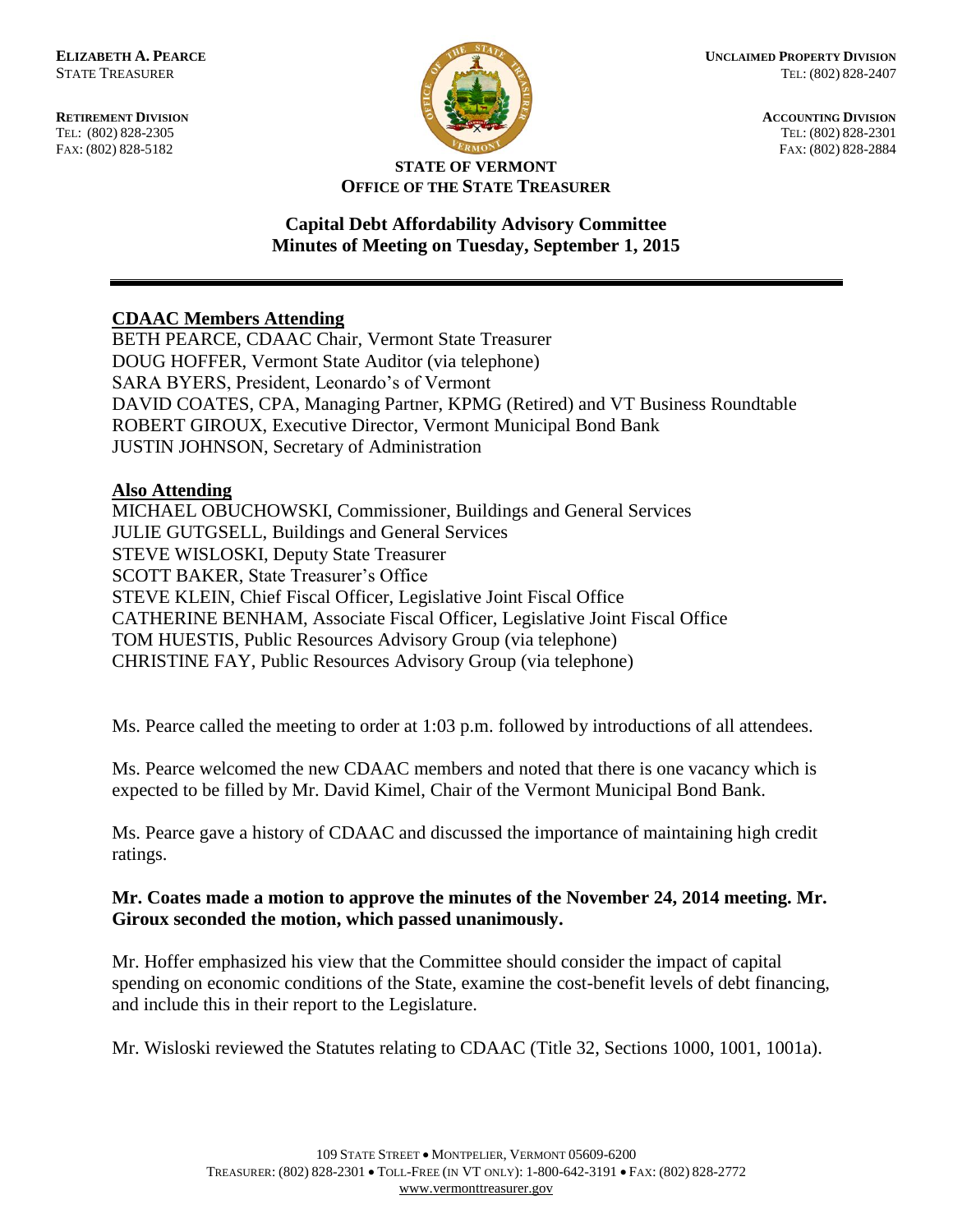FAX: (802) 828-5182



**RETIREMENT DIVISION**<br> **RETIREMENT DIVISION**<br> **ACCOUNTING DIVISION**<br> **RETIREMENT DIVISION**<br> **RETIREMENT DIVISION** TEL: (802) 828-2301<br>FAX: (802) 828-2884

### **STATE OF VERMONT OFFICE OF THE STATE TREASURER**

# **Capital Debt Affordability Advisory Committee Minutes of Meeting on Tuesday, September 1, 2015**

# **CDAAC Members Attending**

BETH PEARCE, CDAAC Chair, Vermont State Treasurer DOUG HOFFER, Vermont State Auditor (via telephone) SARA BYERS, President, Leonardo's of Vermont DAVID COATES, CPA, Managing Partner, KPMG (Retired) and VT Business Roundtable ROBERT GIROUX, Executive Director, Vermont Municipal Bond Bank JUSTIN JOHNSON, Secretary of Administration

# **Also Attending**

MICHAEL OBUCHOWSKI, Commissioner, Buildings and General Services JULIE GUTGSELL, Buildings and General Services STEVE WISLOSKI, Deputy State Treasurer SCOTT BAKER, State Treasurer's Office STEVE KLEIN, Chief Fiscal Officer, Legislative Joint Fiscal Office CATHERINE BENHAM, Associate Fiscal Officer, Legislative Joint Fiscal Office TOM HUESTIS, Public Resources Advisory Group (via telephone) CHRISTINE FAY, Public Resources Advisory Group (via telephone)

Ms. Pearce called the meeting to order at 1:03 p.m. followed by introductions of all attendees.

Ms. Pearce welcomed the new CDAAC members and noted that there is one vacancy which is expected to be filled by Mr. David Kimel, Chair of the Vermont Municipal Bond Bank.

Ms. Pearce gave a history of CDAAC and discussed the importance of maintaining high credit ratings.

### **Mr. Coates made a motion to approve the minutes of the November 24, 2014 meeting. Mr. Giroux seconded the motion, which passed unanimously.**

Mr. Hoffer emphasized his view that the Committee should consider the impact of capital spending on economic conditions of the State, examine the cost-benefit levels of debt financing, and include this in their report to the Legislature.

Mr. Wisloski reviewed the Statutes relating to CDAAC (Title 32, Sections 1000, 1001, 1001a).